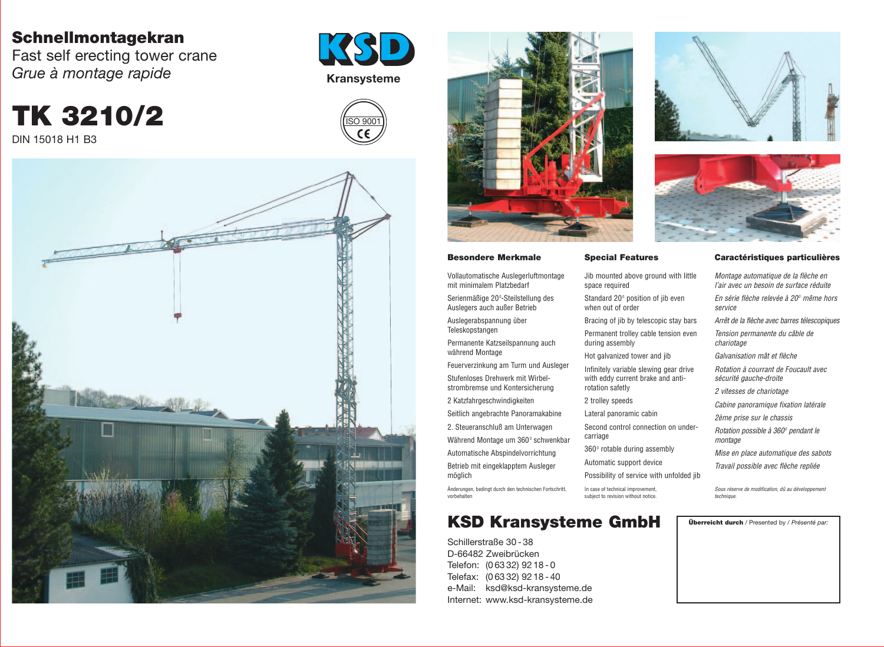## **Schnellmontagekran**

Fast self erecting tower crane *Grue à montage rapide*

**TK 3210/2** DIN 15018 H1 B3

**MARIA AND AVAIT** Service Man

## **KSD Kransysteme GmbH Überreicht durch** / Presented by / *Présenté par:*

Serienmäßige 20°-Steilstellung des Auslegers auch außer Betrieb

Schillerstraße 30 - 38 D-66482 Zweibrücken Telefon: (0 63 32) 92 18 - 0 Telefax: (0 63 32) 92 18 - 40 e-Mail: ksd@ksd-kransysteme.de Internet: www.ksd-kransysteme.de





#### **Besondere Merkmale**

Vollautomatische Auslegerluftmontage mit minimalem Platzbedarf

Jib mounted above ground with little space required

Auslegerabspannung über Teleskopstangen

Standard 20<sup>°</sup> position of jib even when out of order

Bracing of jib by telescopic stay bar

Permanente Katzseilspannung auch während Montage

Permanent trolley cable tension eve during assembly

Feuerverzinkung am Turm und Ausleger Stufenloses Drehwerk mit Wirbelstrombremse und Kontersicherung

> Second control connection on under carriage

360° rotable during assembly

2 Katzfahrgeschwindigkeiten

Seitlich angebrachte Panoramakabine

2. Steueranschluß am Unterwagen

Während Montage um 360° schwenkbar

Automatische Abspindelvorrichtung

Betrieb mit eingeklapptem Ausleger möglich

Änderungen, bedingt durch den technischen Fortschritt, vorbehalten

### **Special Features**

Hot galvanized tower and jib

Infinitely variable slewing gear drive with eddy current brake and antirotation safetly

2 trolley speeds

Lateral panoramic cabin

Automatic support device

Possibility of service with unfolded

In case of technical improvement, subject to revision without notice.



#### **Caractéristiques particulières**

| e   | Montage automatique de la flèche en<br>l'air avec un besoin de surface réduite |  |  |  |  |
|-----|--------------------------------------------------------------------------------|--|--|--|--|
|     | En série flèche relevée à 20º même hors<br>service                             |  |  |  |  |
| Ś.  | Arrêt de la flèche avec barres télescopiques                                   |  |  |  |  |
| n   | Tension permanente du câble de<br>chariotage                                   |  |  |  |  |
|     | Galvanisation mât et flèche                                                    |  |  |  |  |
|     | Rotation à courrant de Foucault avec<br>sécurité gauche-droite                 |  |  |  |  |
|     | <i>2 vitesses de chariotage</i>                                                |  |  |  |  |
|     | Cabine panoramique fixation latérale                                           |  |  |  |  |
|     | 2ème prise sur le chassis                                                      |  |  |  |  |
| r-  | Rotation possible à 360° pendant le<br>montage                                 |  |  |  |  |
|     | Mise en place automatique des sabots                                           |  |  |  |  |
| jib | Travail possible avec flèche repliée                                           |  |  |  |  |
|     | Sous réserve de modification, dû au développement<br>technique.                |  |  |  |  |